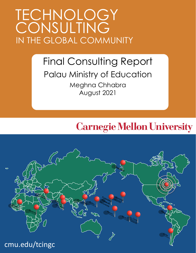# TECHNOLOGY IN THE GLOBAL COMMUNITY **CONSULTING**

## Final Consulting Report Palau Ministry of Education Meghna Chhabra August 2021

## **Carnegie Mellon University**

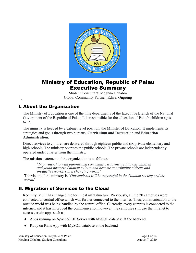

## Ministry of Education, Republic of Palau Executive Summary

Student Consultant, Meghna Chhabra Global Community Partner, Edwel Ongrung

## I. About the Organization

The Ministry of Education is one of the nine departments of the Executive Branch of the National Government of the Republic of Palau. It is responsible for the education of Palau's children ages 6-17.

The ministry is headed by a cabinet level position, the Minister of Education. It implements its strategies and goals through two bureaus, **Curriculum and Instruction** and **Education Administration.**

Direct services to children are delivered through eighteen public and six private elementary and high schools. The ministry operates the public schools. The private schools are independently operated under charter from the ministry.

The mission statement of the organization is as follows-

*"In partnership with parents and community, is to ensure that our children and youth preserve Palauan culture and become contributing citizens and productive workers in a changing world."*

The vision of the ministry is *"Our students will be successful in the Palauan society and the world."*

## II. Migration of Services to the Cloud

Recently, MOE has changed the technical infrastructure. Previously, all the 20 campuses were connected to central office which was further connected to the internet. Thus, communication to the outside world was being handled by the central office. Currently, every campus is connected to the internet, and it has improved the communication however, the campuses still use the intranet to access certain apps such as-

- Apps running on Apache/PHP Server with MySQL database at the backend.
- Ruby on Rails App with MySQL database at the backend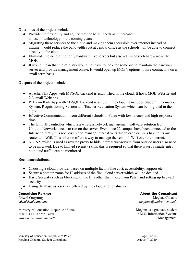**Outcomes** of the project include:

- Provide the flexibility and agility that the MOE needs as it increases its use of technology in the coming years.
- Migrating these services to the cloud and making them accessible over internet instead of intranet would reduce the bandwidth cost at central office as the schools will be able to connect directly to the cloud.
- Eliminate the need of not only hardware like servers but also admin of such hardware at the MOE.
- It would mean that the ministry would not have to look for someone to maintain the hardware server and provide management onsite. It would open up MOE's options to hire contractors on a small-term basis.

**Outputs** of the project include:

- Apache/PHP Apps with MYSQL backend is established in the cloud. It hosts MOE Website and 2-3 small Webapps.
- Ruby on Rails App with MySQL backend is set up in the cloud. It includes Student Information System, Requisitioning System and Teacher Evaluation System which can be migrated to the cloud.
- Effective Communication from different schools of Palau with low latency and high response time.
- The UniFi® Controller which is a wireless network management software solution from Ubiquiti Networks needs to run on the server. Ever since 22 campus have been connected to the Internet directly it is not possible to manage Internal Wifi due to each campus having its own router and Wifi. This solution offers a way to manage the school's Wifi over the internet.
- NGINX which is used as reverse proxy to hide internal webservers from outside users also need to be migrated. Due to limited security skills, this is required so that there is just a single entry point and traffic can be monitored.

#### **Recommendations**:

- Choosing a cloud provider based on multiple factors like cost, accessibility, support etc
- Secure a domain name for IP address of the final cloud server which will be decided.
- Basic Security such as blocking all the IP's other than those from Palau and setting up firewall security..
- Using database as a service offered by the cloud after evaluation.

#### Consulting Partner

Edwel Ongrung *edwel@palaumoe.net*

Ministry of Education, Republic of Palau 8FRC+FF4, Koror, Palau *http://www.palaumoe.net/*

#### About the Consultant

Meghna Chhabra *meghnac@andrew.cmu.edu*

Meghna is a graduate student in M.S. Information Systems Management.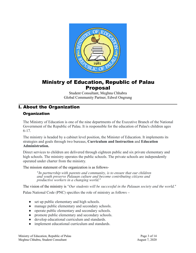

## Ministry of Education, Republic of Palau **Proposal**

Student Consultant, Meghna Chhabra Global Community Partner, Edwel Ongrung

### I. About the Organization

#### **Organization**

The Ministry of Education is one of the nine departments of the Executive Branch of the National Government of the Republic of Palau. It is responsible for the education of Palau's children ages 6-17.

The ministry is headed by a cabinet level position, the Minister of Education. It implements its strategies and goals through two bureaus, **Curriculum and Instruction** and **Education Administration.**

Direct services to children are delivered through eighteen public and six private elementary and high schools. The ministry operates the public schools. The private schools are independently operated under charter from the ministry.

The mission statement of the organization is as follows-

*"In partnership with parents and community, is to ensure that our children and youth preserve Palauan culture and become contributing citizens and productive workers in a changing world."*

The vision of the ministry is *"Our students will be successful in the Palauan society and the world."*

Palau National Code (PNC) specifies the role of ministry as follows –

- set up public elementary and high schools.
- manage public elementary and secondary schools.
- operate public elementary and secondary schools.
- promote public elementary and secondary schools.
- develop educational curriculum and standards.
- implement educational curriculum and standards.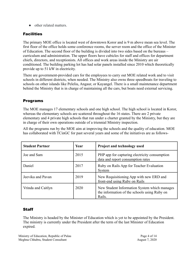● other related matters

#### **Facilities**

The primary MOE office is located west of downtown Koror and is 9 m above mean sea level. The first floor of the office holds some conference rooms, the server room and the office of the Minister of Education. The second floor of the building is divided into two sides based on the bureaus – curriculum and administration. The upper floors have cubicles for staff and offices for department chiefs, directors, and receptionists. All offices and work areas inside the Ministry are air conditioned. The building parking lot has had solar panels installed since 2010 which theoretically provide up to 51 kW in electricity.

There are government-provided cars for the employees to carry out MOE related work and to visit schools in different districts, when needed. The Ministry also owns three speedboats for traveling to schools on other islands like Peleliu, Angaur, or Kayangel. There is a small maintenance department behind the Ministry that is in charge of maintaining all the cars, but boats need external servicing.

#### Programs

The MOE manages 17 elementary schools and one high school. The high school is located in Koror, whereas the elementary schools are scattered throughout the 16 states. There are 2 private elementary and 4 private high schools that run under a charter granted by the Ministry, but they are in charge of their own operations outside of a triennial Ministry inspection.

All the programs run by the MOE aim at improving the schools and the quality of education. MOE has collaborated with TCinGC for past several years and some of the initiatives are as follows-

| <b>Student Partner</b> | Year | Project and technology used                                                                            |
|------------------------|------|--------------------------------------------------------------------------------------------------------|
| Joe and Sam            | 2015 | PHP app for capturing electricity consumption<br>data and report consumption rates                     |
| Daniel                 | 2017 | Ruby on Rails App for Teacher Evaluation<br>System                                                     |
| Jeevika and Pavan      | 2019 | New Requisitioning App with new ERD and<br>front-end using Ruby on Rails                               |
| Vrinda and Caitlyn     | 2020 | New Student Information System which manages<br>the information of the schools using Ruby on<br>Rails. |

#### **Staff**

The Ministry is headed by the Minister of Education which is yet to be appointed by the President. The ministry is currently under the President after the term of the last Minister of Education expired.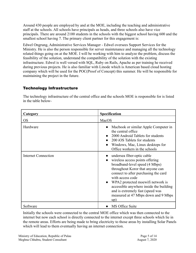Around 430 people are employed by and at the MOE, including the teaching and administrative staff at the schools. All schools have principals as heads, and three schools also have vice principals. There are around 2100 students in the schools with the biggest school having 600 and the smallest school having 7. The primary client partner for this engagement is:

Edwel Ongrung, Administrative Services Manager - Edwel oversees Support Services for the Ministry. He is also the person responsible for server maintenance and managing all the technology related things going on at the MOE. I will be working with him to analyze the problem, discuss the feasibility of the solution, understand the compatibility of the solution with the existing infrastructure. Edwel is well versed with SQL, Ruby on Rails, Apache as per training he received during previous projects. He is also familiar with Linode which is American based cloud hosting company which will be used for the POC(Proof of Concept) this summer. He will be responsible for maintaining the project in the future.

#### Technology Infrastructure

The technology infrastructure of the central office and the schools MOE is responsible for is listed in the table below-

| Category                   | <b>Specification</b>                                                                                                                                                                                                                                                                                                                                                             |
|----------------------------|----------------------------------------------------------------------------------------------------------------------------------------------------------------------------------------------------------------------------------------------------------------------------------------------------------------------------------------------------------------------------------|
| <b>OS</b>                  | MacOS                                                                                                                                                                                                                                                                                                                                                                            |
| Hardware                   | Macbook or similar Apple Computer in<br>the central office<br>2000 Android Tablets for students<br>200 iOS Tablets for students<br>Windows, Mac, Linux desktops for<br>$\bullet$<br>Office workers in the schools                                                                                                                                                                |
| <b>Internet Connection</b> | • undersea fiber-optic cable<br>wireless access points offering<br>broadband-level speed (4 Mbps)<br>throughout Koror that anyone can<br>connect to after purchasing the card<br>with access code<br>WPA2 protected moewifi network is<br>$\bullet$<br>accessible anywhere inside the building<br>and is extremely fast (speed was<br>measured at 47 Mbps down and 9 Mbps<br>up) |
| Software                   | MS Office Suite                                                                                                                                                                                                                                                                                                                                                                  |

Initially the schools were connected to the central MOE office which was then connected to the internet but now each school is directly connected to the internet except three schools which lie in the remote areas. Efforts are being made to bring electricity to those areas by installing Solar Panels which will lead to them eventually having an internet connection.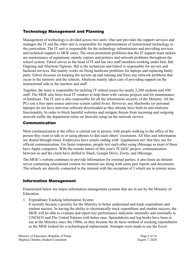#### Technology Management and Planning

Management of technology is divided across two units. One unit provides the support services and manages the IT and the other unit is responsible for implementation of instructional technology in the curriculum. The IT unit is responsible for the technology infrastructure and providing services and technical support to MOE users. The most prominent problems that the IT support team tackles are maintenance of equipment, mainly copiers and printers and network problems throughout the school system. Edwel serves as the head of IT and has two staff members working under him, Bal Ongrung and Aberlynn Ngirous. Bal is the technician and Edwel is responsible for servers and backend services. Bal mainly works on fixing hardware problems for laptops and replacing faulty parts. Edwel focusses on keeping the servers up and running and fixes any network problems that occur in the ministry and the schools. Aberlynn mainly takes care of providing support on the instructional side to the teachers and staff.

Together, the team is responsible for tackling IT related issues for nearly 2,200 students and 430 staff. The MOE also hires local IT vendors to help them with various projects and for maintenance of hardware. The IT unit is also responsible for all the information security of the Ministry. All the PCs use a free open source antivirus system called Avast. However, any Macbooks (or personal laptops) do not have antivirus software downloaded as they already have built-in anti-malware functionality. In order to block harmful websites and mitigate threats from incoming and outgoing network traffic the department relies on firewalls setup on the network servers.

#### Communication

Most communication at the office is carried out in person, with people walking to the office of the person they want to talk to or using phones to dial each others' extensions. All files and information are shared through email. Employees have emails ending with '@palaumoe.net' that they use for official communication. For faster responses, people text each other using iMessage as most of them have Apple computers. With the remote nature of this year's TCinGC project, communication between us and the client have shifted to Slack, Google Drive, Zoom, and iMessage.

The MOE's website continues to provide information for external parties; it also hosts an intranet server containing educational content for internal use along with some past reports and documents. The schools are directly connected to the internet with the exception of 3 which are in remote areas.

#### Information Management

Enumerated below are major information management systems that are in use by the Ministry of Education.

1. Expenditure Tracking Information System

It recently became a priority for the Ministry to better understand and track expenditure and student success. In having the ability to electronically track expenditure and student success, the MOE will be able to evaluate and report key performance indicators internally and externally to UNESCO and The United Nations with better ease. Spreadsheets and log books have been in use at the Ministry since the 1980s, so they became the de facto method of tracking expenditures as the MOE looked for a technological replacement. Attempts were made to use the Excel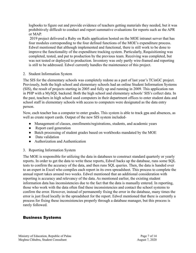logbooks to figure out and provide evidence of teachers getting materials they needed, but it was prohibitively difficult to conduct and report summative evaluations for reports such as the APR or MAP.

2019 project delivered a Ruby on Rails application hosted on the MOE intranet server that has four modules corresponding to the four defined functions of the MOE's expenditure process. Edwel mentioned that although implemented and functional, there is still work to be done to improve the functionality of the expenditure tracking system. Particularly, Requisitioning was completed, tested, and put to production by the previous team. Receiving was completed, but was not tested or deployed to production. Inventory was only partly wire-framed and reporting is still to be addressed. Edwel currently handles the maintenance of this project.

#### 2. Student Information System

The SIS for the elementary schools was completely redone as a part of last year's TCinGC project. Previously, both the high school and elementary schools had an online Student Information Systems (SIS), the result of projects starting in 2005 and fully up and running in 2009. This application ran in PHP with a MySQL backend. Both the high school and elementary schools' SIS's collect data. In the past, teachers in high school used computers in their department offices to enter student data and school staff in elementary schools with access to computers were designated as the data entry person.

Now, each teacher has a computer to enter grades. This system is able to track gpa and absences, as well as create report cards. Output of the new SIS system included-

- Management of classes, enrollments/registrations, students, and academic years
- Report card generation
- Batch processing of student grades based on workbooks mandated by the MOE
- Data validation
- Authorization and Authentication

#### 3. Reporting Information System

The MOE is responsible for utilizing the data in databases to construct standard quarterly or yearly reports. In order to get the data to write these reports, Edwel backs up the database, runs some SQL tests to confirm the accuracy of the data, and then runs SQL queries. Then, the data is handed over to an expert in Excel who compiles each report in its own spreadsheet. This process to complete the annual report takes around two weeks. Edwel mentioned that an additional consideration with reporting is accuracy and relevancy of the data. As mentioned earlier, the existing student information data has inconsistencies due to the fact that the data is manually entered. In reporting, those who work with the data often find these inconsistencies and contact the school systems to confirm the error. However, instead of permanently fixing the error in the database, many times the error is just fixed locally in the spreadsheet for the report. Edwel mentioned that there is currently a process for fixing these inconsistencies properly through a database manager, but this process is rarely followed.

#### Business Systems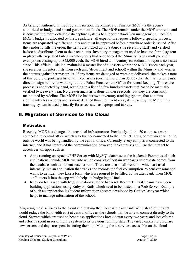As briefly mentioned in the Programs section, the Ministry of Finance (MOF) is the agency authorized to budget and spend government funds. The MOE remains under the MOF umbrella, and is constructing more detailed data capture systems to support data-driven management. Once the MOE's budget is allocated by the Legislature, all expenditure requests follow a specific process. Items are requested by different units and must be approved before a purchase order is issued. After the vendor fulfills the order, the items are picked up by Saburo (the receiving staff) and verified before he distributes them to their recipients. Inventory management used to have no formal system in place; after repeated failed inventory tests that once forced the Ministry to pay multiple audit exemptions costing up to \$45,000 each, the MOE hired an inventory custodian and reports no issues since. This official, Adeline, maintains a master list of all assets within the MOE. Twice each year, she receives inventory lists from each unit (department and school) within the Ministry and verifies their status against her master list. If any items are damaged or were not delivered, she makes a note of this before exporting a list of all fixed assets (costing more than \$5000) that she has her bureau's directors sign before forwarding it to the Palau Procurement Office for record keeping. This entire process is conducted by hand, resulting in a list of a few hundred assets that has to be manually verified twice every year. No greater analysis is done on these records, but they are constantly maintained by Adeline. The MOE also has its own inventory tracking system, that contains significantly less records and is more detailed than the inventory system used by the MOF. This tracking system is used primarily for assets such as laptops and tablets.

## II. Migration of Services to the Cloud

#### **Motivation**

Recently, MOE has changed the technical infrastructure. Previously, all the 20 campuses were connected to central office which was further connected to the internet. Thus, communication to the outside world was being handled by the central office. Currently, every campus is connected to the internet, and it has improved the communication however, the campuses still use the intranet to access certain apps such as-

- Apps running on Apache/PHP Server with MySQL database at the backend: Examples of such applications include MOE website which consists of certain webpages where data comes from the database such as student-teacher ratio. There are also small webtools which are used internally like an application that tracks and records the fuel consumption. Whenever someone wants to get fuel, they take a form which is required to be filled by the attendant. Then MOE staff enters it into the app which helps in budgeting of fuel.
- Ruby on Rails App with MySQL database at the backend: Recent TCinGC teams have been building applications using Ruby on Rails which need to be hosted on a Web Server. Example of such an application is Student Information System developed by Caitlyn last year which helps to manage information of the school.

Migrating these services to the cloud and making them accessible over internet instead of intranet would reduce the bandwidth cost at central office as the schools will be able to connect directly to the cloud. Servers which are used to host these applications break down every two years and lots of time and effort is spent in restoring the system to its previous running state. They need capital to purchase new servers and days are spent in setting them up. Making these services accessible on the cloud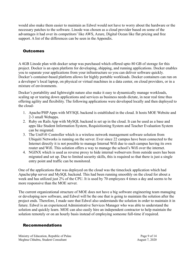would also make them easier to maintain as Edwel would not have to worry about the hardware or the necessary patches to the software. Linode was chosen as a cloud provider based on some of the advantages it had over its competitors' like AWS, Azure, Digital Ocean like flat pricing and free support. A list of the differences can be seen in the Appendix.

#### **Outcomes**

A 4GB Linode plan with docker setup was purchased which offered upto 80 GB of storage for this project. Docker is an open platform for developing, shipping, and running applications. Docker enables you to separate your applications from your infrastructure so you can deliver software quickly. Docker's container-based platform allows for highly portable workloads. Docker containers can run on a developer's local laptop, on physical or virtual machines in a data center, on cloud providers, or in a mixture of environments.

Docker's portability and lightweight nature also make it easy to dynamically manage workloads, scaling up or tearing down applications and services as business needs dictate, in near real time thus offering agility and flexibility. The following applications were developed locally and then deployed to the cloud-

- 1. Apache/PHP Apps with MYSQL backend is established in the cloud. It hosts MOE Website and 2-3 small Webapps.
- 2. Ruby on Rails App with MySQL backend is set up in the cloud. It can be used as a base and apps like Student Information System, Requisitioning System and Teacher Evaluation System can be migrated.
- 3. The UniFi® Controller which is a wireless network management software solution from Ubiquiti Networks is running on the server. Ever since 22 campus have been connected to the Internet directly it is not possible to manage Internal Wifi due to each campus having its own router and Wifi. This solution offers a way to manage the school's Wifi over the internet.
- 4. NGINX which is used as reverse proxy to hide internal webservers from outside users has been migrated and set up. Due to limited security skills, this is required so that there is just a single entry point and traffic can be monitored.

One of the applications that was deployed on the cloud was the timeclock application which had Apache/php server and MySQL backend. This had been running smoothly on the cloud for about a week and has utilized just 2% of the CPU. It is used by 70 employees 4 times a day and seems to be more responsive than the MOE server.

The current organizational structure of MOE does not have a big software engineering team managing or developing new software, and Edwel will be the one that is going to maintain the solution after the project ends. Therefore, I made sure that Edwel also understands the solution in order to maintain it in future. Edwel is an experienced Administrative Services Manager who was able to understand the solution and quickly learn. MOE can also easily hire an independent contractor to help maintain the solution remotely or on an hourly basis instead of employing someone full-time if required.

#### Recommendations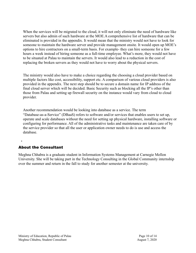When the services will be migrated to the cloud, it will not only eliminate the need of hardware like servers but also admin of such hardware at the MOE.A comprehensive list of hardware that can be eliminated is provided in the appendix. It would mean that the ministry would not have to look for someone to maintain the hardware server and provide management onsite. It would open up MOE's options to hire contractors on a small-term basis. For example- they can hire someone for a few hours a week instead of hiring someone as a full-time employee. What's more, they would not have to be situated at Palau to maintain the servers. It would also lead to a reduction in the cost of replacing the broken servers as they would not have to worry about the physical servers.

The ministry would also have to make a choice regarding the choosing a cloud provider based on multiple factors like cost, accessibility, support etc. A comparison of various cloud providers is also provided in the appendix. The next step should be to secure a domain name for IP address of the final cloud server which will be decided. Basic Security such as blocking all the IP's other than those from Palau and setting up firewall security on the instance would vary from cloud to cloud provider.

Another recommendation would be looking into database as a service. The term ["Database-as-a-Service](https://www.techopedia.com/definition/29431/database-as-a-service-dbaas)" (DBaaS) refers to software and/or services that enables users to set up, operate and scale databases without the need for setting up physical hardware, installing software or configuring for performance. All of the administrative tasks and maintenance are taken care of by the service provider so that all the user or application owner needs to do is use and access the database.

#### About the Consultant

Meghna Chhabra is a graduate student in Information Systems Management at Carnegie Mellon University. She will be taking part in the Technology Consulting in the Global Community internship over the summer and return in the fall to study for another semester at the university.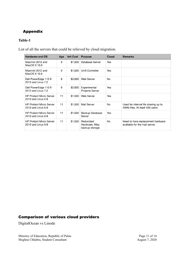## Appendix

#### **Table-1**

List of all the servers that could be relieved by cloud migration.

| <b>Hardware and OS</b>                                | Age | <b>Init Cost</b> | <b>Purpose</b>                                | <b>Cloud</b> | <b>Remarks</b>                                                          |
|-------------------------------------------------------|-----|------------------|-----------------------------------------------|--------------|-------------------------------------------------------------------------|
| Macmini 2012 and<br>MacOS X 10.9                      | 9   | \$1,500          | Database Server                               | Yes          |                                                                         |
| Macmini 2012 and<br>MacOS X 10.9                      | 9   | \$1,500          | Unifi Controller                              | Yes          |                                                                         |
| Dell PowerEdge 110 II<br>2013 and Linux 7.2           | 8   | \$3,000          | <b>Web Server</b>                             | No           |                                                                         |
| Dell PowerEdge 110 II<br>2013 and Linux 7.2           | 8   | \$3,000          | Experimental<br><b>Projects Server</b>        | Yes          |                                                                         |
| <b>HP Proliant Micro Server</b><br>2010 and Linux 6.9 | 11  | \$1,500          | <b>Web Server</b>                             | Yes          |                                                                         |
| <b>HP Proliant Micro Server</b><br>2010 and Linux 6.9 | 11  | \$1,500          | <b>Mail Server</b>                            | No           | Used for internal file sharing up to<br>40Mb files. At least 400 users. |
| <b>HP Proliant Micro Server</b><br>2010 and Linux 6.9 | 11  | \$1,500          | Backup Database<br>Server                     | Yes          |                                                                         |
| <b>HP Proliant Micro Server</b><br>2010 and Linux 6.9 | 11  | \$1,500          | Redundant<br>Hardware, Misc<br>backup storage | No           | Need to have replacement hardware<br>available for the mail server.     |

### Comparison of various cloud providers

DigitalOcean vs Linode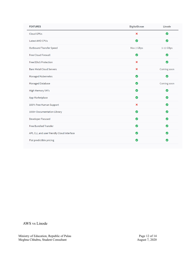| <b>FEATURES</b>                             | <b>DigitalOcean</b>       | Linode      |
|---------------------------------------------|---------------------------|-------------|
| <b>Cloud GPUs</b>                           | $\boldsymbol{\mathsf{x}}$ | Ø           |
| Latest AMD CPUs                             | $\bullet$                 | ◙           |
| <b>Outbound Transfer Speed</b>              | Max 2 GBps                | 1-12 GBps   |
| <b>Free Cloud Firewall</b>                  | ◙                         | ◙           |
| <b>Free DDoS Protection</b>                 | $\boldsymbol{\mathsf{x}}$ | Ø           |
| <b>Bare Metal Cloud Servers</b>             | $\boldsymbol{\mathsf{x}}$ | Coming soon |
| Managed Kubernetes                          | $\bullet$                 | Ø           |
| Managed Database                            | $\bullet$                 | Coming soon |
| <b>High Memory VM's</b>                     | ◙                         | ◙           |
| App Marketplace                             | ◙                         | Ø           |
| 100% Free Human Support                     | $\boldsymbol{\mathsf{x}}$ | $\bullet$   |
| 1000+ Documentation Library                 | $\bullet$                 | $\bullet$   |
| Developer Focused                           | $\bullet$                 | ◙           |
| <b>Free Bundled Transfer</b>                | $\bullet$                 | ◙           |
| API, CLI, and user friendly Cloud Interface | $\bullet$                 | Ø           |
| Flat predictible pricing                    | ◙                         | Ø           |
|                                             |                           |             |

AWS vs Linode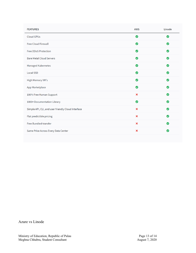| <b>FEATURES</b>                                    | <b>AWS</b>                | Linode    |
|----------------------------------------------------|---------------------------|-----------|
| <b>Cloud GPUs</b>                                  | ◙                         | Ø         |
| <b>Free Cloud Firewall</b>                         | ◙                         | $\bullet$ |
| <b>Free DDoS Protection</b>                        | ◙                         | $\bullet$ |
| <b>Bare Metal Cloud Servers</b>                    | Ø                         | $\bullet$ |
| <b>Managed Kubernetes</b>                          | Ø                         | $\bullet$ |
| Local SSD                                          | ◙                         | $\bullet$ |
| High Memory VM's                                   | Ø                         | $\bullet$ |
| App Marketplace                                    | ◙                         | $\bullet$ |
| 100% Free Human Support                            | $\boldsymbol{\mathsf{x}}$ | ◙         |
| 1000+ Documentation Library                        | ◙                         | $\bullet$ |
| Simple API, CLI, and user friendly Cloud Interface | $\boldsymbol{\mathsf{x}}$ | $\bullet$ |
| Flat predictible pricing                           | $\boldsymbol{\mathsf{x}}$ | $\bullet$ |
| Free Bundled transfer                              | $\boldsymbol{\mathsf{x}}$ | $\bullet$ |
| Same Price Across Every Data Center                | $\boldsymbol{\mathsf{x}}$ | Ø         |

Azure vs Linode